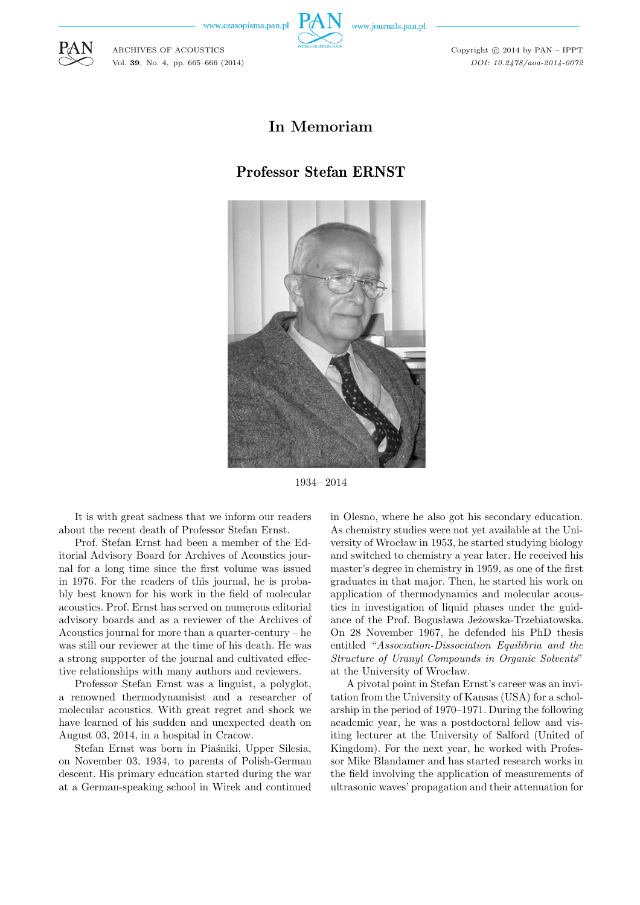www.czasopisma.pan.pl

ARCHIVES OF ACOUSTICS Vol. **39**, No. 4, pp. 665–666 (2014)



Copyright  $\odot$  2014 by PAN - IPPT *DOI: 10.2478/aoa-2014-0072*

## **In Memoriam**

## Professor Stefan ERNST

1934 – 2014

It is with great sadness that we inform our readers about the recent death of Professor Stefan Ernst.

Prof. Stefan Ernst had been a member of the Editorial Advisory Board for Archives of Acoustics journal for a long time since the first volume was issued in 1976. For the readers of this journal, he is probably best known for his work in the field of molecular acoustics. Prof. Ernst has served on numerous editorial advisory boards and as a reviewer of the Archives of Acoustics journal for more than a quarter-century – he was still our reviewer at the time of his death. He was a strong supporter of the journal and cultivated effective relationships with many authors and reviewers.

Professor Stefan Ernst was a linguist, a polyglot, a renowned thermodynamisist and a researcher of molecular acoustics. With great regret and shock we have learned of his sudden and unexpected death on August 03, 2014, in a hospital in Cracow.

Stefan Ernst was born in Piaśniki, Upper Silesia, on November 03, 1934, to parents of Polish-German descent. His primary education started during the war at a German-speaking school in Wirek and continued in Olesno, where he also got his secondary education. As chemistry studies were not yet available at the University of Wrocław in 1953, he started studying biology and switched to chemistry a year later. He received his master's degree in chemistry in 1959, as one of the first graduates in that major. Then, he started his work on application of thermodynamics and molecular acoustics in investigation of liquid phases under the guidance of the Prof. Bogusława Jeżowska-Trzebiatowska. On 28 November 1967, he defended his PhD thesis entitled "*Association-Dissociation Equilibria and the Structure of Uranyl Compounds in Organic Solvents*" at the University of Wrocław.

A pivotal point in Stefan Ernst's career was an invitation from the University of Kansas (USA) for a scholarship in the period of 1970–1971. During the following academic year, he was a postdoctoral fellow and visiting lecturer at the University of Salford (United of Kingdom). For the next year, he worked with Professor Mike Blandamer and has started research works in the field involving the application of measurements of ultrasonic waves' propagation and their attenuation for



www.journals.pan.pl